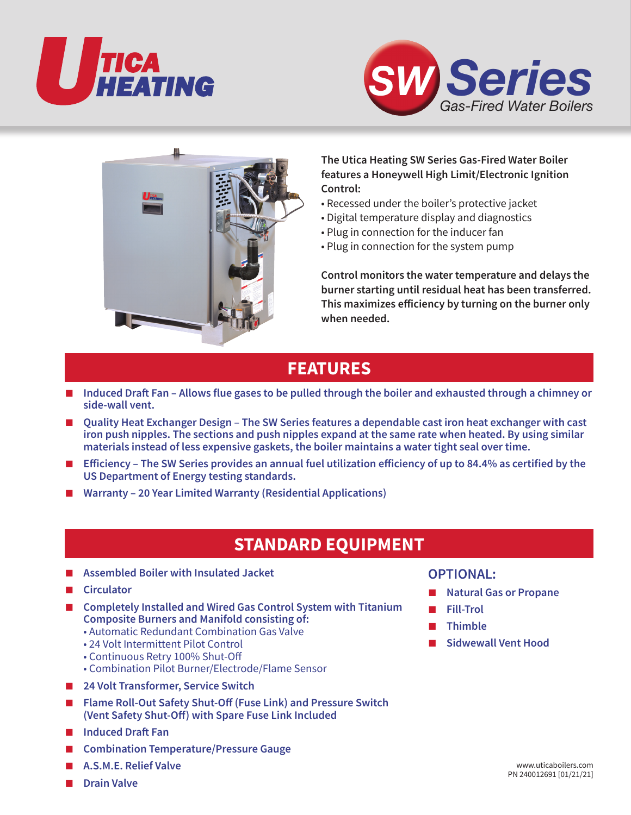





### **The Utica Heating SW Series Gas-Fired Water Boiler features a Honeywell High Limit/Electronic Ignition Control:**

- Recessed under the boiler's protective jacket
- Digital temperature display and diagnostics
- Plug in connection for the inducer fan
- Plug in connection for the system pump

**Control monitors the water temperature and delays the burner starting until residual heat has been transferred. This maximizes efficiency by turning on the burner only when needed.**

## **FEATURES**

- **Induced Draft Fan Allows flue gases to be pulled through the boiler and exhausted through a chimney or side-wall vent.**
- **Quality Heat Exchanger Design The SW Series features a dependable cast iron heat exchanger with cast iron push nipples. The sections and push nipples expand at the same rate when heated. By using similar materials instead of less expensive gaskets, the boiler maintains a water tight seal over time.**
- **Efficiency The SW Series provides an annual fuel utilization efficiency of up to 84.4% as certified by the US Department of Energy testing standards.**
- Warranty 20 Year Limited Warranty (Residential Applications)

# **STANDARD EQUIPMENT**

- **Assembled Boiler with Insulated Jacket**
- **Circulator**
- **Completely Installed and Wired Gas Control System with Titanium Composite Burners and Manifold consisting of:**
	- Automatic Redundant Combination Gas Valve
	- 24 Volt Intermittent Pilot Control
	- Continuous Retry 100% Shut-Off
	- Combination Pilot Burner/Electrode/Flame Sensor
- **24 Volt Transformer, Service Switch**
- **Flame Roll-Out Safety Shut-Off (Fuse Link) and Pressure Switch (Vent Safety Shut-Off) with Spare Fuse Link Included**
- **Induced Draft Fan**
- **Combination Temperature/Pressure Gauge**
- **A.S.M.E. Relief Valve**
- **Drain Valve**

### **OPTIONAL:**

- **Natural Gas or Propane**
- **Fill-Trol**
- **Thimble**
- **Sidwewall Vent Hood**